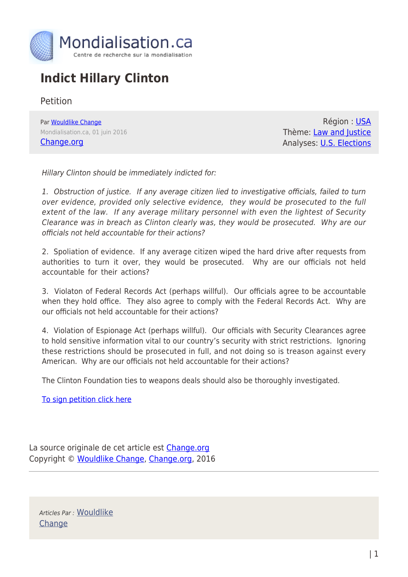

## **Indict Hillary Clinton**

Petition

Par [Wouldlike Change](https://www.mondialisation.ca/author/wouldlike-change) Mondialisation.ca, 01 juin 2016 [Change.org](https://www.change.org/p/doj-indict-hillary-clinton)

Région : [USA](https://www.mondialisation.ca/region/usa) Thème: [Law and Justice](https://www.mondialisation.ca/theme/law-and-justice) Analyses: [U.S. Elections](https://www.mondialisation.ca/indepthreport/u-s-elections)

Hillary Clinton should be immediately indicted for:

1. Obstruction of justice. If any average citizen lied to investigative officials, failed to turn over evidence, provided only selective evidence, they would be prosecuted to the full extent of the law. If any average military personnel with even the lightest of Security Clearance was in breach as Clinton clearly was, they would be prosecuted. Why are our officials not held accountable for their actions?

2. Spoliation of evidence. If any average citizen wiped the hard drive after requests from authorities to turn it over, they would be prosecuted. Why are our officials not held accountable for their actions?

3. Violaton of Federal Records Act (perhaps willful). Our officials agree to be accountable when they hold office. They also agree to comply with the Federal Records Act. Why are our officials not held accountable for their actions?

4. Violation of Espionage Act (perhaps willful). Our officials with Security Clearances agree to hold sensitive information vital to our country's security with strict restrictions. Ignoring these restrictions should be prosecuted in full, and not doing so is treason against every American. Why are our officials not held accountable for their actions?

The Clinton Foundation ties to weapons deals should also be thoroughly investigated.

[To sign petition click here](https://www.change.org/p/doj-indict-hillary-clinton)

La source originale de cet article est [Change.org](https://www.change.org/p/doj-indict-hillary-clinton) Copyright © [Wouldlike Change,](https://www.mondialisation.ca/author/wouldlike-change) [Change.org](https://www.change.org/p/doj-indict-hillary-clinton), 2016

Articles Par : [Wouldlike](https://www.mondialisation.ca/author/wouldlike-change) **[Change](https://www.mondialisation.ca/author/wouldlike-change)**